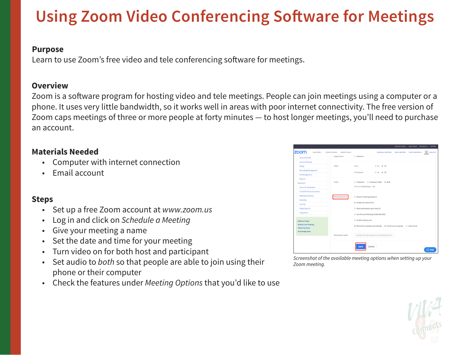## **Using Zoom Video Conferencing Software for Meetings**

#### **Purpose**

Learn to use Zoom's free video and tele conferencing software for meetings.

#### **Overview**

Zoom is a software program for hosting video and tele meetings. People can join meetings using a computer or a phone. It uses very little bandwidth, so it works well in areas with poor internet connectivity. The free version of Zoom caps meetings of three or more people at forty minutes — to host longer meetings, you'll need to purchase an account.

### **Materials Needed**

- Computer with internet connection
- Email account

### **Steps**

- Set up a free Zoom account at *www.zoom.us*
- Log in and click on *Schedule a Meeting*
- Give your meeting a name
- Set the date and time for your meeting
- Turn video on for both host and participant
- Set audio to *both* so that people are able to join using their phone or their computer
- Check the features under *Meeting Options* that you'd like to use



*Screenshot of the available meeting options when setting up your Zoom meeting.*

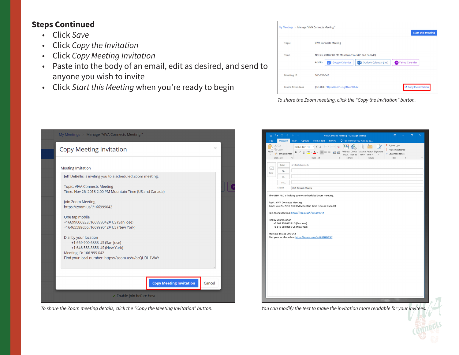#### **Steps Continued**

- Click *Save*
- Click *Copy the Invitation*
- Click *Copy Meeting Invitation*
- Paste into the body of an email, edit as desired, and send to anyone you wish to invite
- Click *Start this Meeting* when you're ready to begin

| My Meetings > Manage "VIVA Connects Meeting " |                                                                                                                                      | <b>Start this Meeting</b> |
|-----------------------------------------------|--------------------------------------------------------------------------------------------------------------------------------------|---------------------------|
| <b>Topic</b>                                  | <b>VIVA Connects Meeting</b>                                                                                                         |                           |
| Time                                          | Nov 26, 2018 2:00 PM Mountain Time (US and Canada)<br>Add to<br><b>Google Calendar</b><br><b>o</b> 2 Outlook Calendar (.ics)<br>l'31 | Yahoo Calendar            |
| <b>Meeting ID</b>                             | 166-999-042                                                                                                                          |                           |
| <b>Invite Attendees</b>                       | Join URL: https://zoom.us/j/166999042                                                                                                | Copy the invitation       |

*To share the Zoom meeting, click the "Copy the invitation" button.*

| My Meetings > Manage "VIVA Connects Meeting "                                                                                                                              |          |  |
|----------------------------------------------------------------------------------------------------------------------------------------------------------------------------|----------|--|
| Copy Meeting Invitation                                                                                                                                                    | $\times$ |  |
| <b>Meeting Invitation</b><br>Jeff DeBellis is inviting you to a scheduled Zoom meeting.                                                                                    |          |  |
| <b>Topic: VIVA Connects Meeting</b><br>Time: Nov 26, 2018 2:00 PM Mountain Time (US and Canada)<br>Join Zoom Meeting                                                       |          |  |
| https://zoom.us/j/166999042<br>One tap mobile                                                                                                                              |          |  |
| +16699006833, 166999042# US (San Jose)<br>+16465588656,,166999042# US (New York)                                                                                           |          |  |
| Dial by your location<br>+1 669 900 6833 US (San Jose)<br>+1 646 558 8656 US (New York)<br>Meeting ID: 166 999 042<br>Find your local number: https://zoom.us/u/acQUBH1WAY |          |  |
|                                                                                                                                                                            |          |  |
| <b>Copy Meeting Invitation</b><br>Cancel                                                                                                                                   |          |  |
| $\triangleright$ Enable join before host                                                                                                                                   |          |  |

*To share the Zoom meeting details, click the "Copy the Meeting Invitation" button.* 

|            | $\overline{5}$<br>$0 + 1$                                   | ÷                             |                                                                                                            |                                       | VIVA Connects Meeting - Message (HTML)     |                                                        | $\overline{a}$                                                                                  | O | $\times$ |
|------------|-------------------------------------------------------------|-------------------------------|------------------------------------------------------------------------------------------------------------|---------------------------------------|--------------------------------------------|--------------------------------------------------------|-------------------------------------------------------------------------------------------------|---|----------|
| File       | Message                                                     | Options<br>Insert             | <b>Format Text</b>                                                                                         | <b>Review</b>                         | $\bigcirc$ Tell me what you want to do     |                                                        |                                                                                                 |   |          |
| ÷<br>Paste | X Cut<br>Copy<br>S <sup>t</sup> Format Painter<br>Clipboard | Calibri (Bc ~ 11<br>r.        | $\cdot$ A A $:=$ $\cdot$ $\cdot$ $\cdot$ $\cdot$<br><b>Basic Text</b>                                      | $\leftarrow$ 3<br>亳<br>$\overline{a}$ | *@<br>Address Check<br>Book Names<br>Names | Attach Attach Signature<br>File -<br>Item -<br>Include | Follow Up -<br>High Importance<br>$\downarrow$ Low Importance<br>$\overline{r_{\rm M}}$<br>Tags |   | $\wedge$ |
|            |                                                             |                               |                                                                                                            |                                       |                                            |                                                        |                                                                                                 |   |          |
| ۱.         | From $\sim$                                                 | prc@salud.unm.edu             |                                                                                                            |                                       |                                            |                                                        |                                                                                                 |   |          |
| Send       | To                                                          |                               |                                                                                                            |                                       |                                            |                                                        |                                                                                                 |   |          |
|            | Cc                                                          |                               |                                                                                                            |                                       |                                            |                                                        |                                                                                                 |   |          |
|            | Bcc<br>Subject                                              | <b>VIVA Connects Meeting</b>  |                                                                                                            |                                       |                                            |                                                        |                                                                                                 |   |          |
|            |                                                             |                               |                                                                                                            |                                       |                                            |                                                        |                                                                                                 |   |          |
|            |                                                             |                               | The UNM PRC is inviting you to a scheduled Zoom meeting.                                                   |                                       |                                            |                                                        |                                                                                                 |   |          |
|            | <b>Topic: VIVA Connects Meeting</b>                         |                               | Time: Nov 26, 2018 2:00 PM Mountain Time (US and Canada)<br>Join Zoom Meeting: https://zoom.us/j/166999042 |                                       |                                            |                                                        |                                                                                                 |   |          |
|            | Dial by your location                                       | +1 669 900 6833 US (San Jose) |                                                                                                            |                                       |                                            |                                                        |                                                                                                 |   |          |
|            |                                                             | +1 646 558 8656 US (New York) |                                                                                                            |                                       |                                            |                                                        |                                                                                                 |   |          |
|            | Meeting ID: 166 999 042                                     |                               | Find your local number: https://zoom.us/u/acQUBH1WAY                                                       |                                       |                                            |                                                        |                                                                                                 |   |          |
|            |                                                             |                               |                                                                                                            |                                       |                                            |                                                        |                                                                                                 |   |          |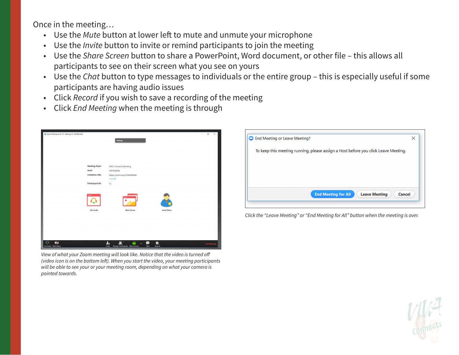Once in the meeting…

- Use the *Mute* button at lower left to mute and unmute your microphone
- Use the *Invite* button to invite or remind participants to join the meeting
- Use the *Share Screen* button to share a PowerPoint, Word document, or other file this allows all participants to see on their screen what you see on yours
- Use the *Chat* button to type messages to individuals or the entire group this is especially useful if some participants are having audio issues
- Click *Record* if you wish to save a recording of the meeting
- Click *End Meeting* when the meeting is through



*View of what your Zoom meeting will look like. Notice that the video is turned off (video icon is on the bottom left). When you start the video, your meeting participants will be able to see your or your meeting room, depending on what your camera is pointed towards.*



*Click the "Leave Meeting" or "End Meeting for All" button when the meeting is over.*

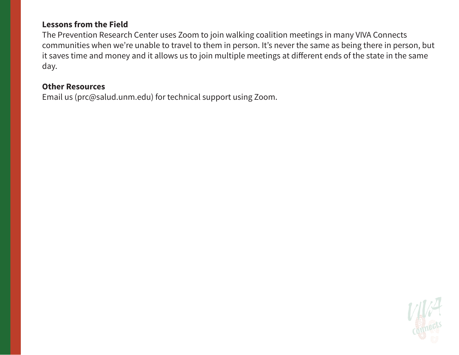#### **Lessons from the Field**

The Prevention Research Center uses Zoom to join walking coalition meetings in many VIVA Connects communities when we're unable to travel to them in person. It's never the same as being there in person, but it saves time and money and it allows us to join multiple meetings at different ends of the state in the same day.

### **Other Resources**

Email us (prc@salud.unm.edu) for technical support using Zoom.